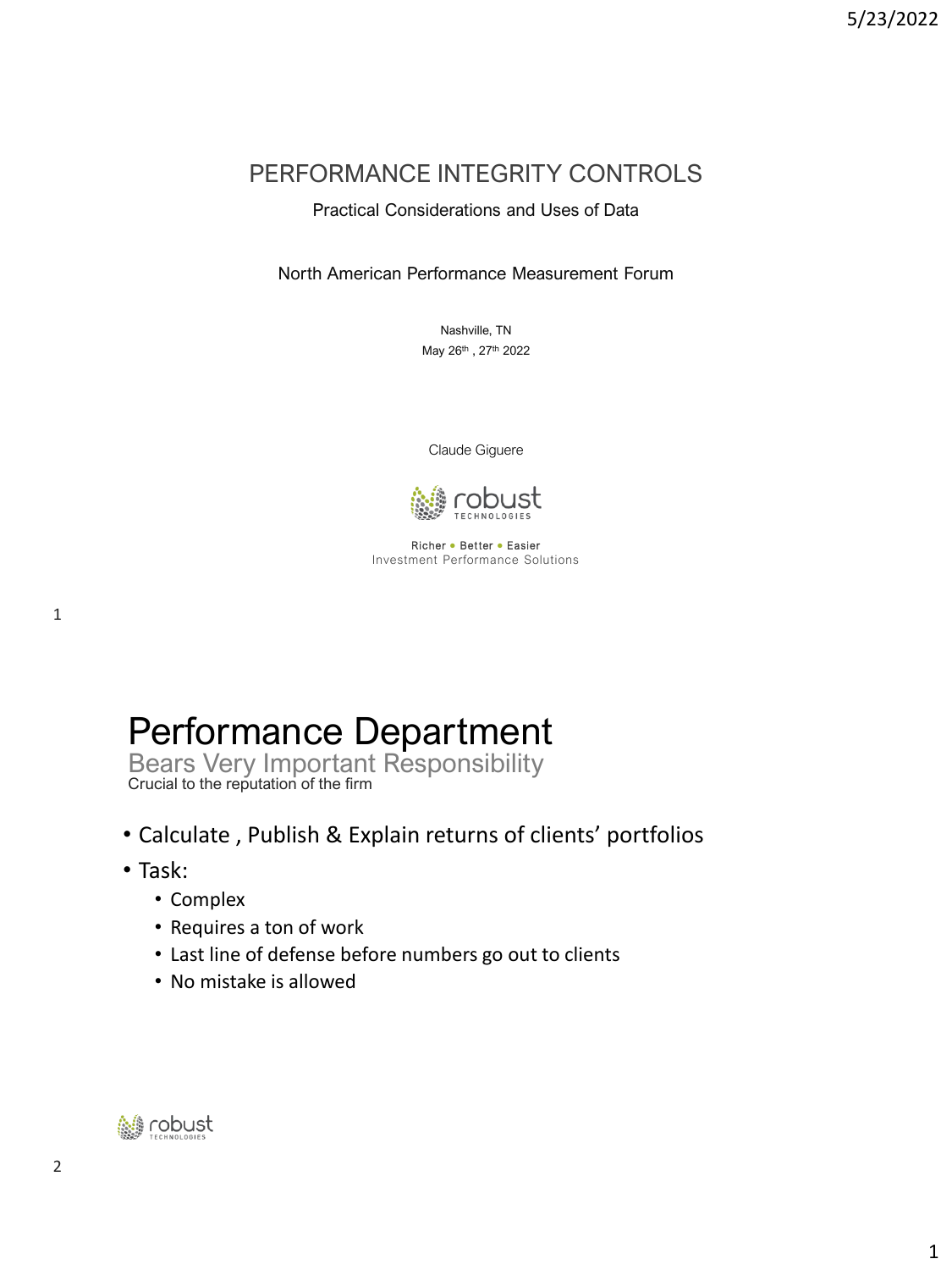#### PERFORMANCE INTEGRITY CONTROLS

#### Practical Considerations and Uses of Data

North American Performance Measurement Forum

Nashville, TN May 26th, 27th 2022

Claude Giguere



Richer ● Better ● Easier Investment Performance Solutions

# Performance Department

Bears Very Important Responsibility Crucial to the reputation of the firm

- Calculate , Publish & Explain returns of clients' portfolios
- Task:
	- Complex
	- Requires a ton of work
	- Last line of defense before numbers go out to clients
	- No mistake is allowed

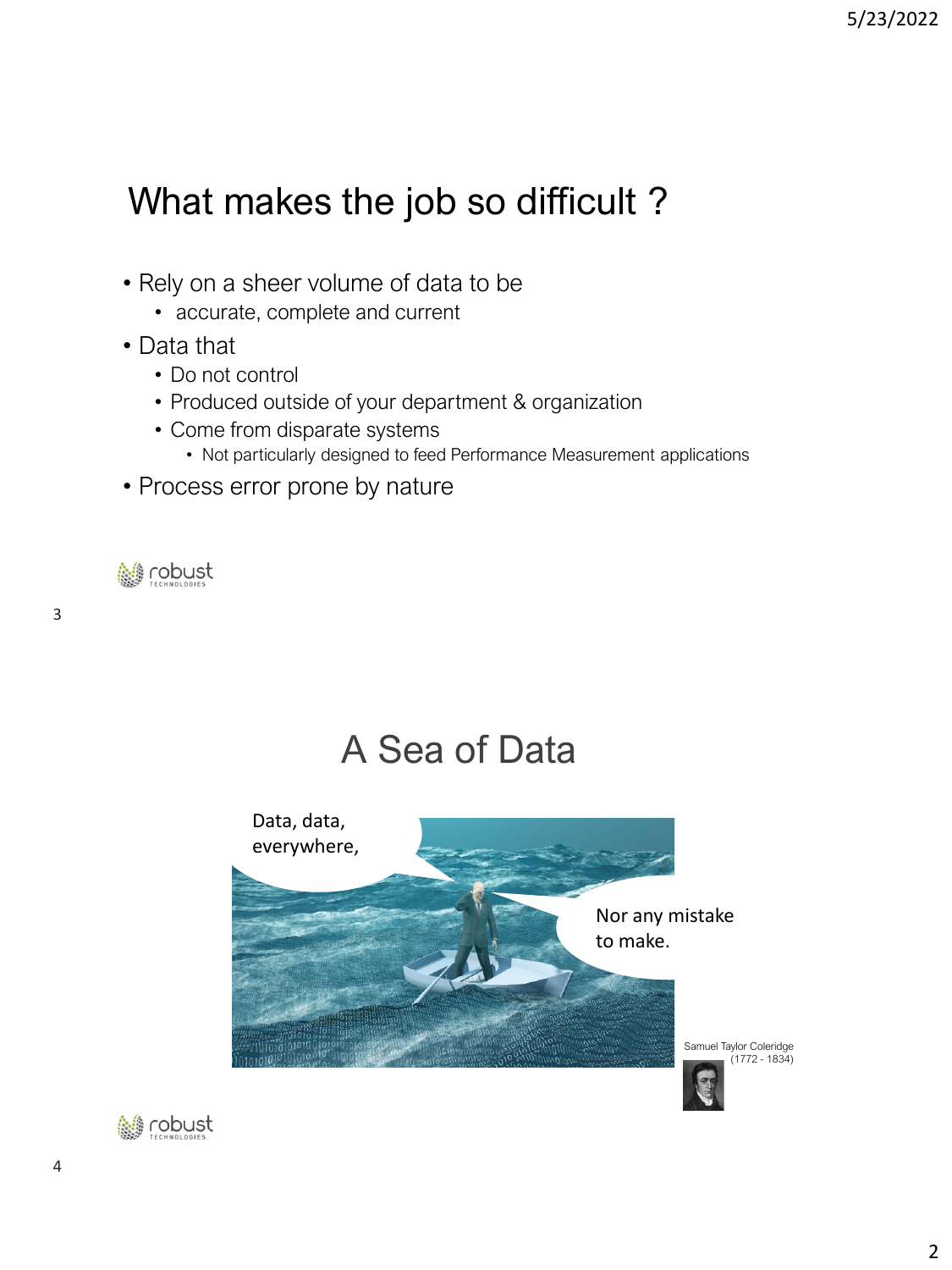# What makes the job so difficult ?

- Rely on a sheer volume of data to be
	- accurate, complete and current
- Data that
	- Do not control
	- Produced outside of your department & organization
	- Come from disparate systems
		- Not particularly designed to feed Performance Measurement applications
- Process error prone by nature

**A** robust

## A Sea of Data



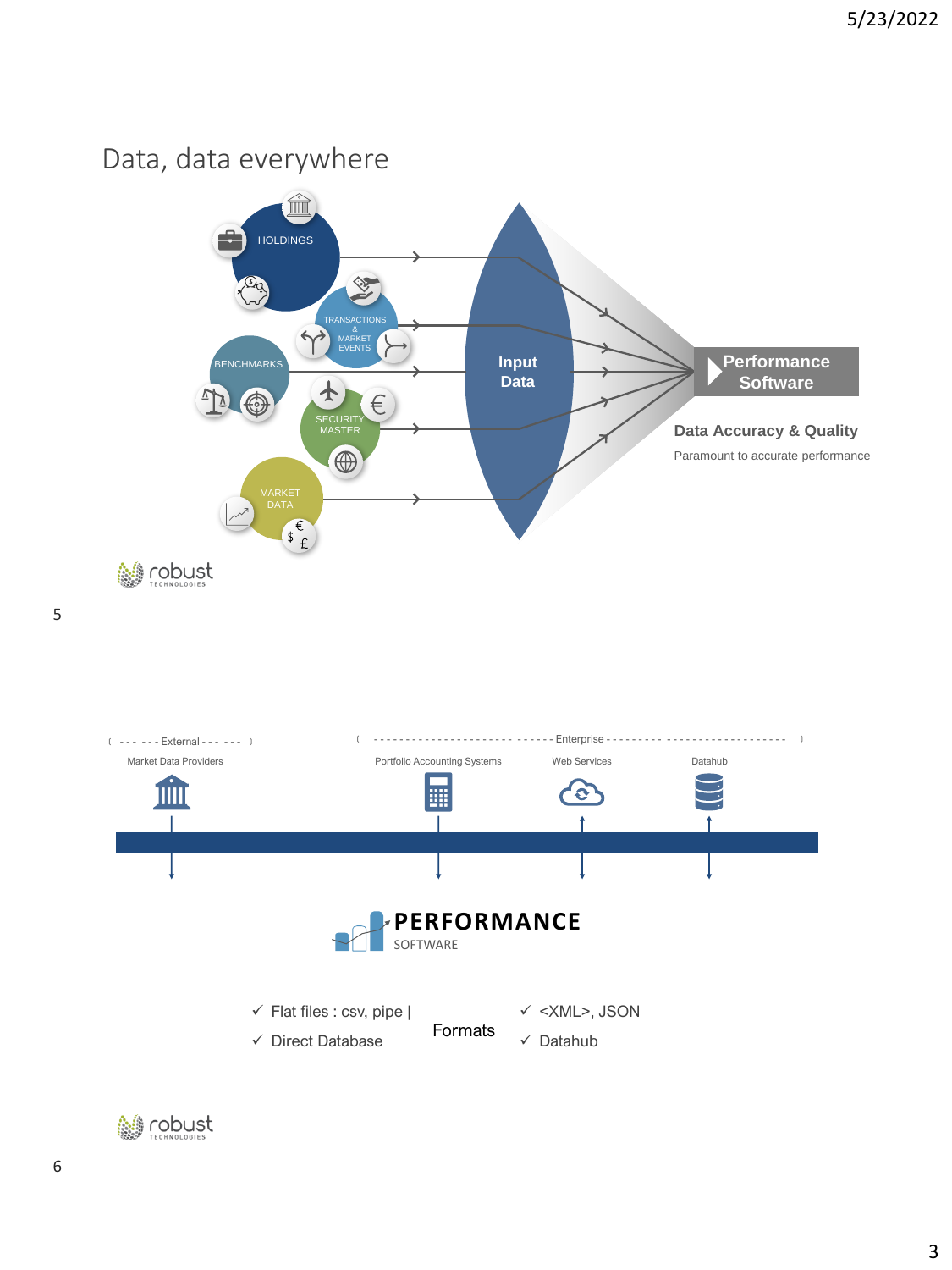#### Data, data everywhere





6

5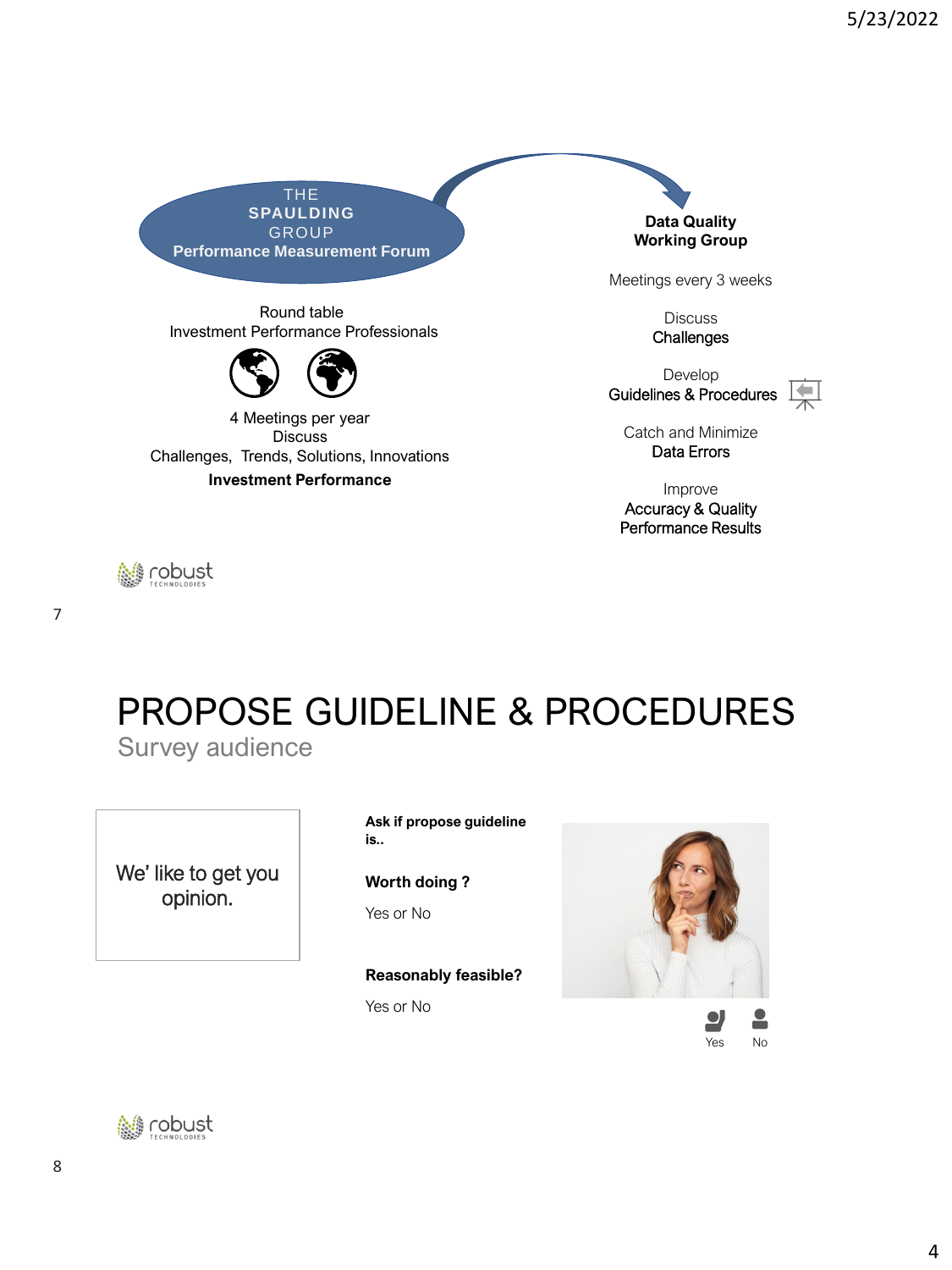THE **SPAULDING GROUP Performance Measurement Forum**

Round table Investment Performance Professionals



4 Meetings per year **Discuss** Challenges, Trends, Solutions, Innovations **Investment Performance**

**Data Quality Working Group**

Meetings every 3 weeks

**Discuss Challenges** 

Develop Guidelines & Procedures  $\boxed{\bigstar}$ 



Catch and Minimize Data Errors

Improve Accuracy & Quality Performance Results

# PROPOSE GUIDELINE & PROCEDURES

Survey audience

We' like to get you opinion.

**Ask if propose guideline is..**

**Worth doing ?** Yes or No

**Reasonably feasible?** Yes or No





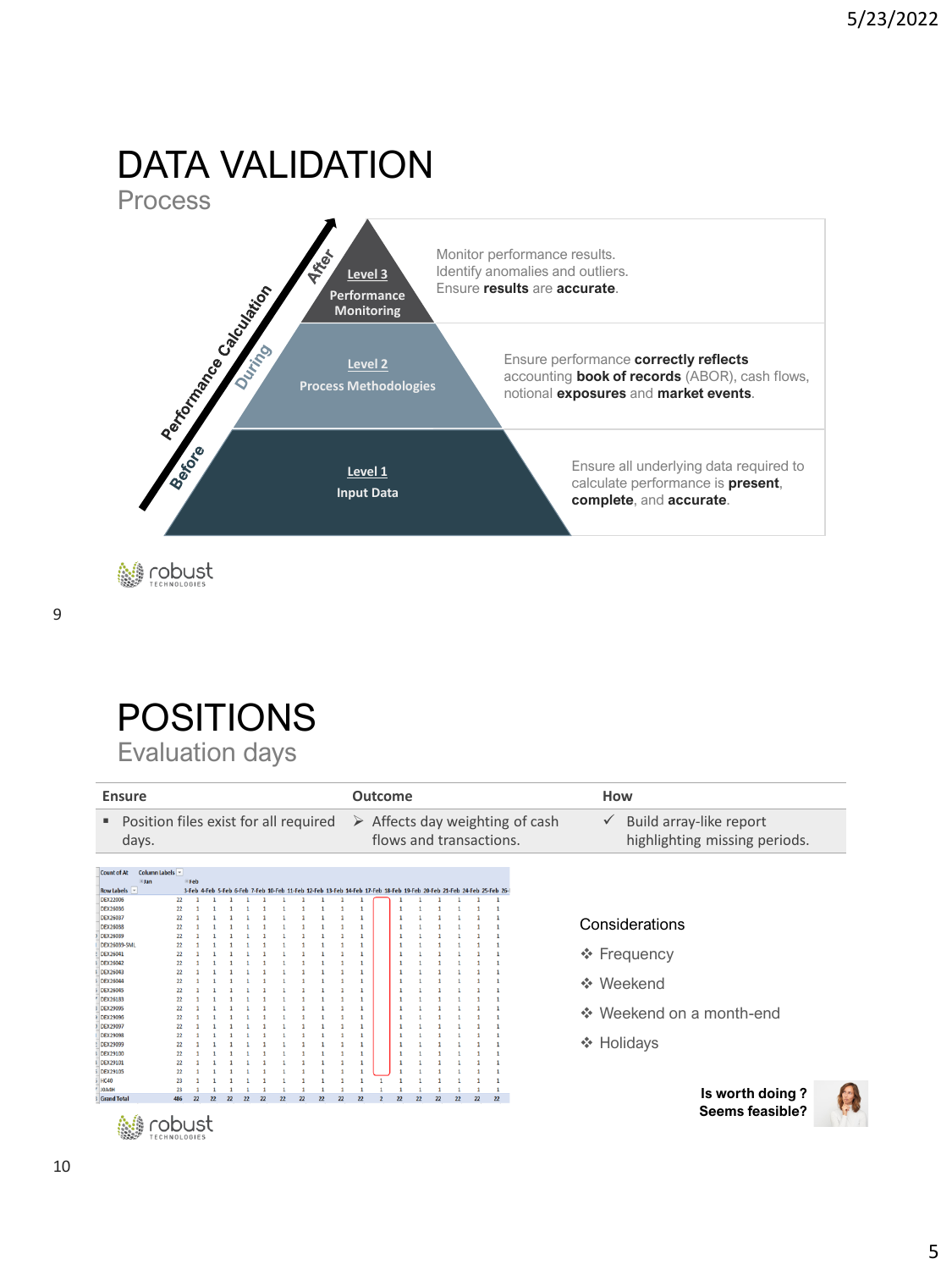#### DATA VALIDATION **Process**



**M** robust

## POSITIONS Evaluation days

| <b>Ensure</b>                                                     |                      |              |                 |                          |    |    |                                                                                                                       |    |    |    | Outcome |                          |                 |    |    |    |              |                                                | How                                                                      |
|-------------------------------------------------------------------|----------------------|--------------|-----------------|--------------------------|----|----|-----------------------------------------------------------------------------------------------------------------------|----|----|----|---------|--------------------------|-----------------|----|----|----|--------------|------------------------------------------------|--------------------------------------------------------------------------|
| Position files exist for all required<br>٠<br>days.               |                      |              |                 |                          |    |    |                                                                                                                       |    |    |    |         | flows and transactions.  |                 |    |    |    |              | $\triangleright$ Affects day weighting of cash | Build array-like report<br>$\checkmark$<br>highlighting missing periods. |
| Count of At<br><b>Elan</b><br>Row Labels   -                      | Column Labels        | <b>EFeb</b>  |                 |                          |    |    | 3-Feb 4-Feb 5-Feb 6-Feb 7-Feb 10-Feb 11-Feb 12-Feb 13-Feb 14-Feb 17-Feb 18-Feb 19-Feb 20-Feb 21-Feb 24-Feb 25-Feb 26- |    |    |    |         |                          |                 |    |    |    |              |                                                |                                                                          |
| <b>DEX22006</b>                                                   | 22                   |              |                 |                          |    |    |                                                                                                                       |    |    |    |         |                          |                 |    |    |    |              |                                                |                                                                          |
| <b>DEX26036</b><br><b>DEX26037</b><br><b>DEX26038</b><br>DEX26039 | 22<br>22<br>22<br>22 |              |                 |                          |    |    |                                                                                                                       |    |    |    |         |                          |                 |    |    |    |              |                                                | Considerations                                                           |
| <b>DEX26039-SML</b><br><b>DEX26041</b>                            | 22<br>22             |              |                 |                          |    |    |                                                                                                                       |    |    |    |         |                          |                 |    |    |    |              |                                                |                                                                          |
| DEX26042                                                          | 22                   |              |                 |                          |    |    |                                                                                                                       |    |    |    |         |                          |                 |    |    |    |              |                                                | ❖ Frequency                                                              |
| <b>DEX26043</b>                                                   | 22                   |              |                 |                          |    |    |                                                                                                                       |    |    |    |         |                          |                 |    |    |    |              |                                                |                                                                          |
| <b>DEX26044</b>                                                   | 22                   |              |                 |                          |    |    |                                                                                                                       |    |    |    |         |                          |                 |    |    |    |              |                                                | ❖ Weekend                                                                |
| <b>DEX26045</b><br><b>DEX26183</b>                                | 22<br>22             |              |                 |                          |    |    |                                                                                                                       |    |    |    |         |                          |                 |    |    |    |              |                                                |                                                                          |
| <b>DEX29095</b>                                                   | 22                   |              |                 |                          |    |    |                                                                                                                       |    |    |    |         |                          |                 |    |    |    |              |                                                |                                                                          |
| DEX29096                                                          | 22                   |              |                 |                          |    |    |                                                                                                                       |    |    |    |         |                          |                 |    |    |    |              |                                                | ❖ Weekend on a month-end                                                 |
| DEX29097                                                          | 22                   |              |                 |                          |    |    |                                                                                                                       |    |    |    |         |                          |                 |    |    |    |              |                                                |                                                                          |
| <b>DEX29098</b>                                                   | 22                   |              |                 |                          |    |    |                                                                                                                       |    |    |    |         |                          |                 |    |    |    |              |                                                |                                                                          |
| DEX29099                                                          | 22                   |              |                 |                          |    |    |                                                                                                                       |    |    |    |         |                          |                 |    |    |    |              |                                                | ❖ Holidays                                                               |
| DEX29100<br>DEX29101                                              | 22<br>22             |              |                 |                          |    |    |                                                                                                                       |    |    |    |         |                          |                 |    |    |    |              |                                                |                                                                          |
| DEX29105                                                          | 22                   |              |                 |                          |    |    |                                                                                                                       |    |    |    |         |                          |                 |    |    |    |              |                                                |                                                                          |
| $5$ HC40                                                          | 23                   |              |                 |                          |    |    |                                                                                                                       |    |    |    |         |                          |                 |    |    |    |              |                                                |                                                                          |
| J0A4H                                                             | 23                   |              |                 |                          |    |    |                                                                                                                       |    |    |    |         |                          |                 |    |    |    | $\mathbf{1}$ |                                                |                                                                          |
| <b>Grand Total</b>                                                |                      | $\mathbf{p}$ | $\overline{22}$ | $\overline{\mathbf{22}}$ | 22 | 22 | $\overline{\mathbf{22}}$                                                                                              | 22 | 22 | 22 |         | $\overline{\mathbf{22}}$ | $\overline{22}$ | 22 | 22 | 22 | 22           |                                                | Is worth doing?<br>Seems feasible?                                       |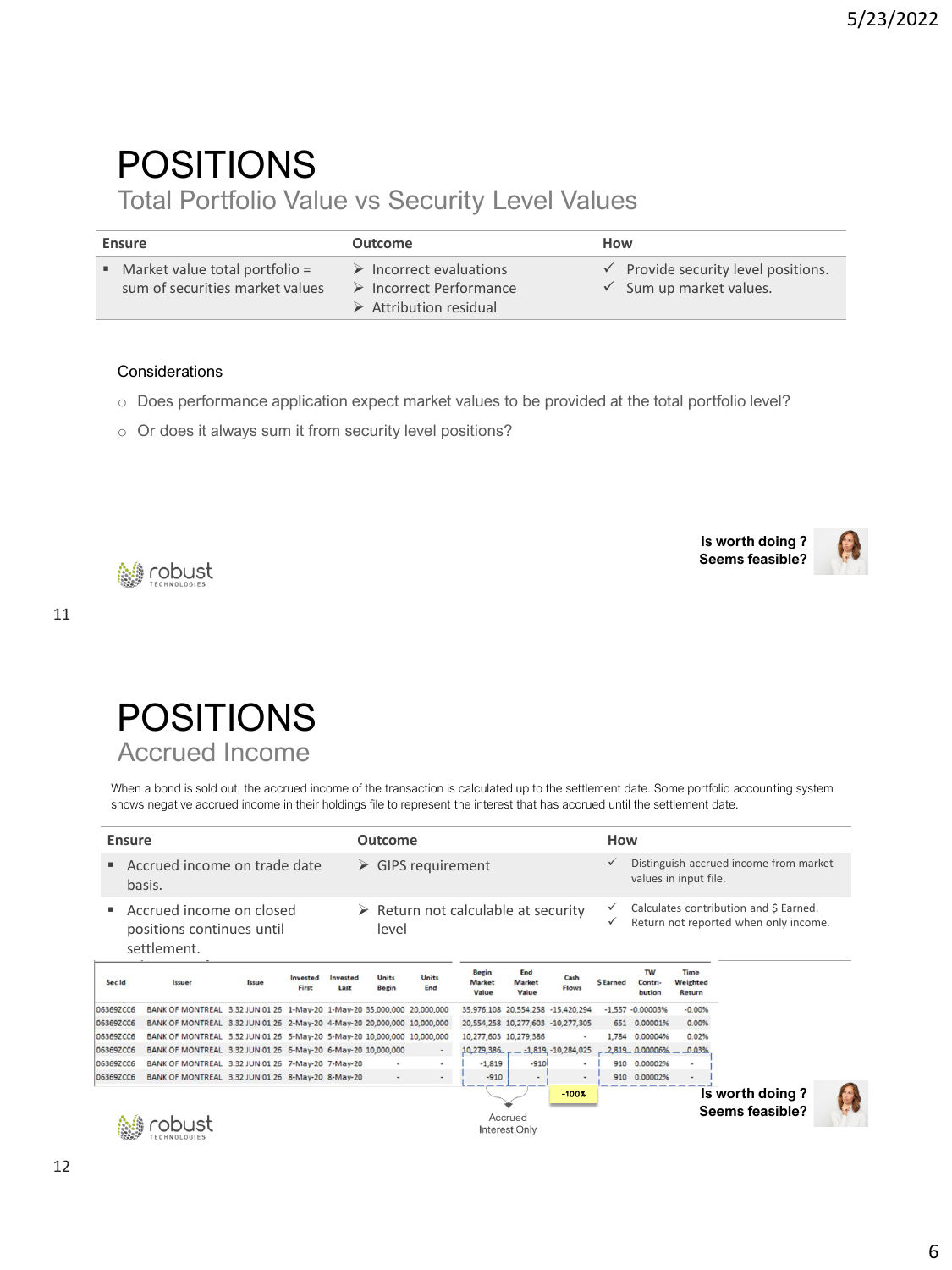## POSITIONS

Total Portfolio Value vs Security Level Values

| Ensure                                                                           | Outcome                                                                                                                   | How |                                                                                      |
|----------------------------------------------------------------------------------|---------------------------------------------------------------------------------------------------------------------------|-----|--------------------------------------------------------------------------------------|
| $\blacksquare$ Market value total portfolio =<br>sum of securities market values | $\triangleright$ Incorrect evaluations<br>$\triangleright$ Incorrect Performance<br>$\triangleright$ Attribution residual |     | $\checkmark$ Provide security level positions.<br>$\checkmark$ Sum up market values. |

#### **Considerations**

**簡 robust** 

- o Does performance application expect market values to be provided at the total portfolio level?
- o Or does it always sum it from security level positions?

**Is worth doing ? Seems feasible?**





When a bond is sold out, the accrued income of the transaction is calculated up to the settlement date. Some portfolio accounting system shows negative accrued income in their holdings file to represent the interest that has accrued until the settlement date.

|           | <b>Ensure</b> |                                                                         |       |                   |                  | Outcome                      |                                                    |                                        |                               |                                   | How               |                                |                            |                                                                                 |  |
|-----------|---------------|-------------------------------------------------------------------------|-------|-------------------|------------------|------------------------------|----------------------------------------------------|----------------------------------------|-------------------------------|-----------------------------------|-------------------|--------------------------------|----------------------------|---------------------------------------------------------------------------------|--|
|           |               | Accrued income on trade date<br>basis.                                  |       |                   |                  |                              | $\triangleright$ GIPS requirement                  |                                        |                               |                                   | $\checkmark$      |                                | values in input file.      | Distinguish accrued income from market                                          |  |
|           |               | Accrued income on closed<br>positions continues until<br>settlement.    |       |                   |                  | level                        | $\triangleright$ Return not calculable at security |                                        |                               |                                   | $\checkmark$<br>✓ |                                |                            | Calculates contribution and \$ Earned.<br>Return not reported when only income. |  |
| Sec Id    |               | Issuer                                                                  | Issue | Invested<br>First | Invested<br>Last | <b>Units</b><br><b>Begin</b> | <b>Units</b><br>End                                | <b>Begin</b><br><b>Market</b><br>Value | End<br><b>Market</b><br>Value | Cash<br><b>Flows</b>              | <b>S</b> Earned   | <b>TW</b><br>Contri-<br>bution | Time<br>Weighted<br>Return |                                                                                 |  |
| 06369ZCC6 |               | BANK OF MONTREAL 3.32 JUN 01 26 1-May-20 1-May-20 35,000,000 20,000,000 |       |                   |                  |                              |                                                    |                                        |                               | 35,976,108 20,554,258 -15,420,294 |                   | $-1,557 -0.00003%$             | $-0.00%$                   |                                                                                 |  |
| 06369ZCC6 |               | BANK OF MONTREAL 3.32 JUN 01 26 2-May-20 4-May-20 20,000,000 10,000,000 |       |                   |                  |                              |                                                    |                                        |                               | 20.554.258 10.277.603 -10.277.305 |                   | 651 0.00001%                   | 0.00%                      |                                                                                 |  |
| 06369ZCC6 |               | BANK OF MONTREAL 3.32 JUN 01 26 5-May-20 5-May-20 10,000,000 10,000,000 |       |                   |                  |                              |                                                    |                                        | 10,277,603 10,279,386         | $\overline{\phantom{a}}$          |                   | 1,784 0.00004%                 | 0.02%                      |                                                                                 |  |
| 06369ZCC6 |               | BANK OF MONTREAL 3.32 JUN 01 26 6-May-20 6-May-20 10,000,000            |       |                   |                  |                              | $\overline{\phantom{a}}$                           | 10,279,386                             |                               | $-1,819, -10,284,025$             |                   | $-2,819$ 0.00006%              | 0.03%                      |                                                                                 |  |
| 06369ZCC6 |               | BANK OF MONTREAL 3.32 JUN 01 26 7-May-20 7-May-20                       |       |                   |                  |                              |                                                    | $-1.819$                               | $-910$                        |                                   |                   | 910 0.00002%                   | $\sim$                     |                                                                                 |  |
| 06369ZCC6 |               | BANK OF MONTREAL 3.32 JUN 01 26 8-May-20 8-May-20                       |       |                   |                  |                              | $\sim$                                             | $-910$                                 |                               | $\overline{\phantom{a}}$          |                   | 910 0.00002%                   |                            |                                                                                 |  |
|           |               |                                                                         |       |                   |                  |                              |                                                    |                                        | Accrued<br>Interest Only      | $-100$ X                          |                   |                                |                            | Is worth doing?<br>Seems feasible?                                              |  |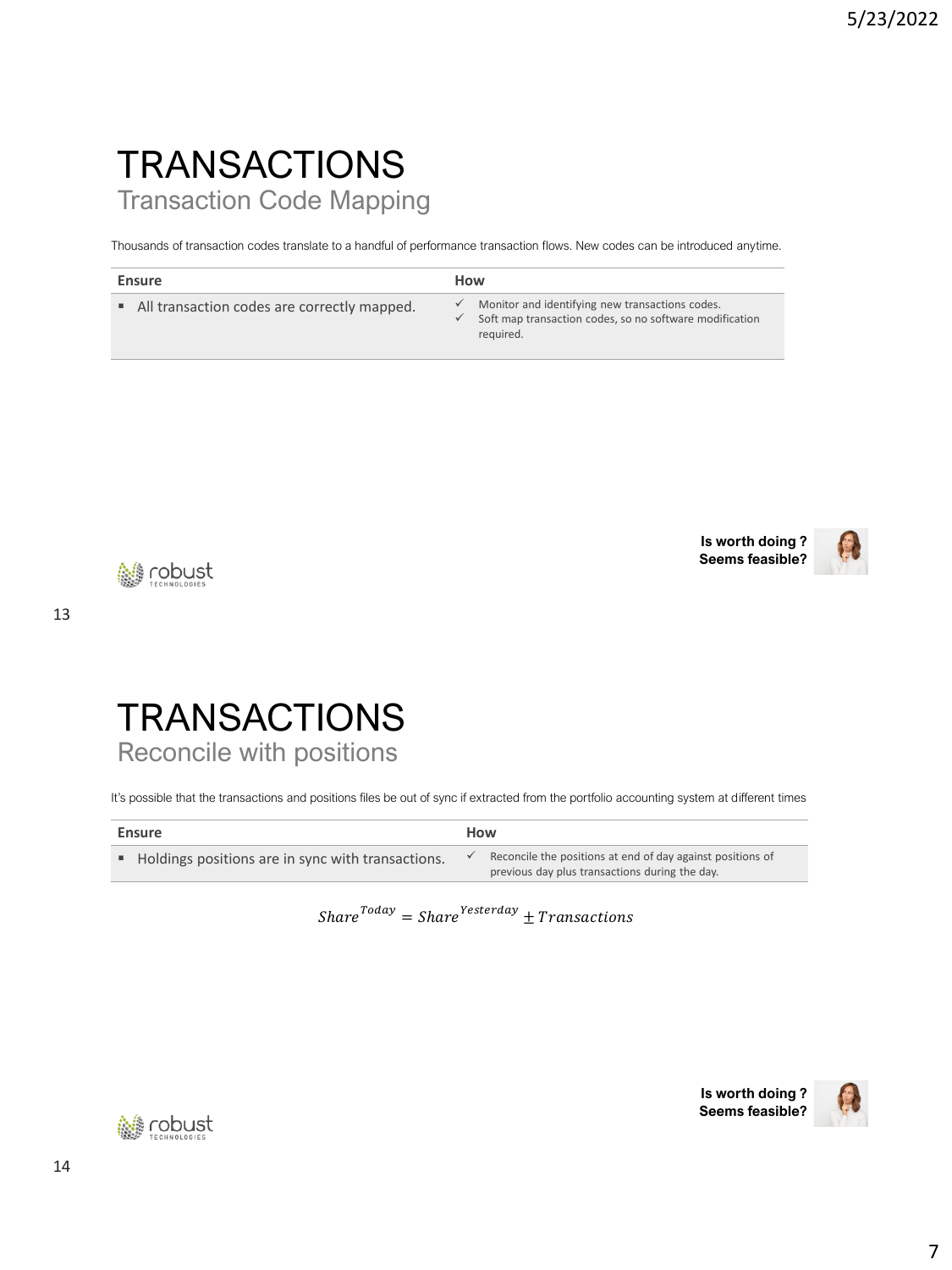## **TRANSACTIONS** Transaction Code Mapping

Thousands of transaction codes translate to a handful of performance transaction flows. New codes can be introduced anytime.

| Ensure                                      | How          |                                                                                                                         |
|---------------------------------------------|--------------|-------------------------------------------------------------------------------------------------------------------------|
| All transaction codes are correctly mapped. | $\checkmark$ | Monitor and identifying new transactions codes.<br>Soft map transaction codes, so no software modification<br>reguired. |





**簡 robust** 

13

#### **TRANSACTIONS** Reconcile with positions

It's possible that the transactions and positions files be out of sync if extracted from the portfolio accounting system at different times

| Ensure                                              | How                                                                                                          |
|-----------------------------------------------------|--------------------------------------------------------------------------------------------------------------|
| • Holdings positions are in sync with transactions. | Reconcile the positions at end of day against positions of<br>previous day plus transactions during the day. |

 $Share^{Today} = share^{Testerday} \pm Transactions$ 



**Is worth doing ? Seems feasible?**

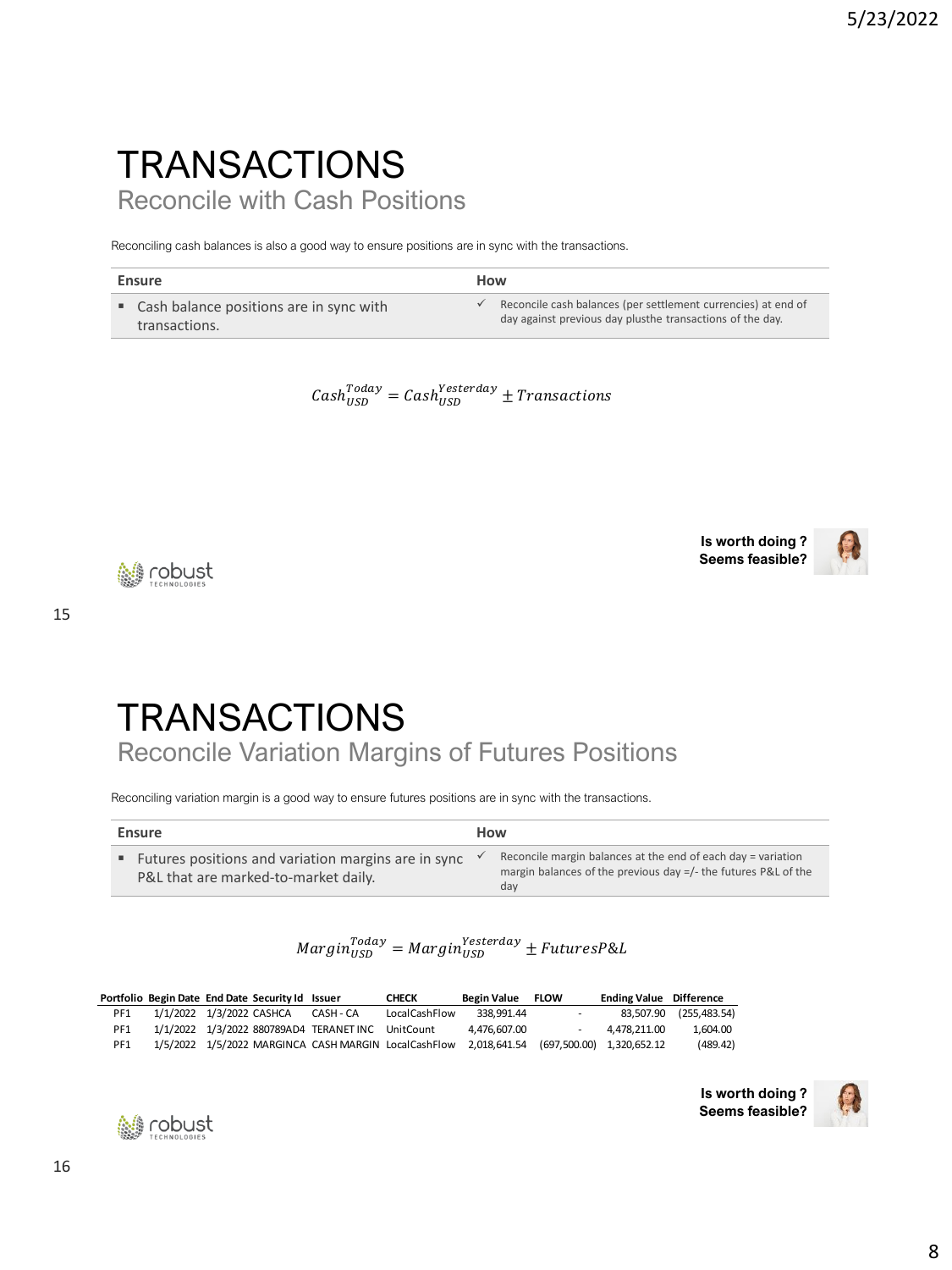## **TRANSACTIONS** Reconcile with Cash Positions

Reconciling cash balances is also a good way to ensure positions are in sync with the transactions.

| Ensure                                    | How                                                           |
|-------------------------------------------|---------------------------------------------------------------|
| • Cash balance positions are in sync with | Reconcile cash balances (per settlement currencies) at end of |
| transactions.                             | day against previous day plusthe transactions of the day.     |

 $\textit{Cash}^{\textit{Today}}_{\textit{USD}} = \textit{Cash}^{\textit{Vesterday}}_{\textit{USD}} \pm \textit{Transforms}$ 

**Is worth doing ? Seems feasible?**



**簡 robust** 

15

# **TRANSACTIONS**

Reconcile Variation Margins of Futures Positions

Reconciling variation margin is a good way to ensure futures positions are in sync with the transactions.

| Ensure                                                                                        | How                                                                                                                                      |
|-----------------------------------------------------------------------------------------------|------------------------------------------------------------------------------------------------------------------------------------------|
| ■ Futures positions and variation margins are in sync<br>P&L that are marked-to-market daily. | Reconcile margin balances at the end of each day = variation<br>margin balances of the previous day $=$ /- the futures P&L of the<br>day |

```
Margin_{USD}^{Today} = Margin_{USD}^{Yesterday} \pm FuturesP\&L
```

|     |                          | Portfolio Begin Date End Date Security Id Issuer |                                                   | <b>CHECK</b>                                                                                | Begin Value FLOW |   | <b>Ending Value Difference</b> |                        |
|-----|--------------------------|--------------------------------------------------|---------------------------------------------------|---------------------------------------------------------------------------------------------|------------------|---|--------------------------------|------------------------|
| PF1 | 1/1/2022 1/3/2022 CASHCA |                                                  | CASH - CA                                         | LocalCashFlow                                                                               | 338.991.44       | - |                                | 83.507.90 (255.483.54) |
| PF1 |                          |                                                  | 1/1/2022 1/3/2022 880789AD4 TERANET INC UnitCount |                                                                                             | 4.476.607.00     |   | 4.478.211.00                   | 1.604.00               |
| PF1 |                          |                                                  |                                                   | 1/5/2022 1/5/2022 MARGINCA CASH MARGIN LocalCashFlow 2,018,641.54 (697,500.00) 1,320,652.12 |                  |   |                                | (489.42)               |





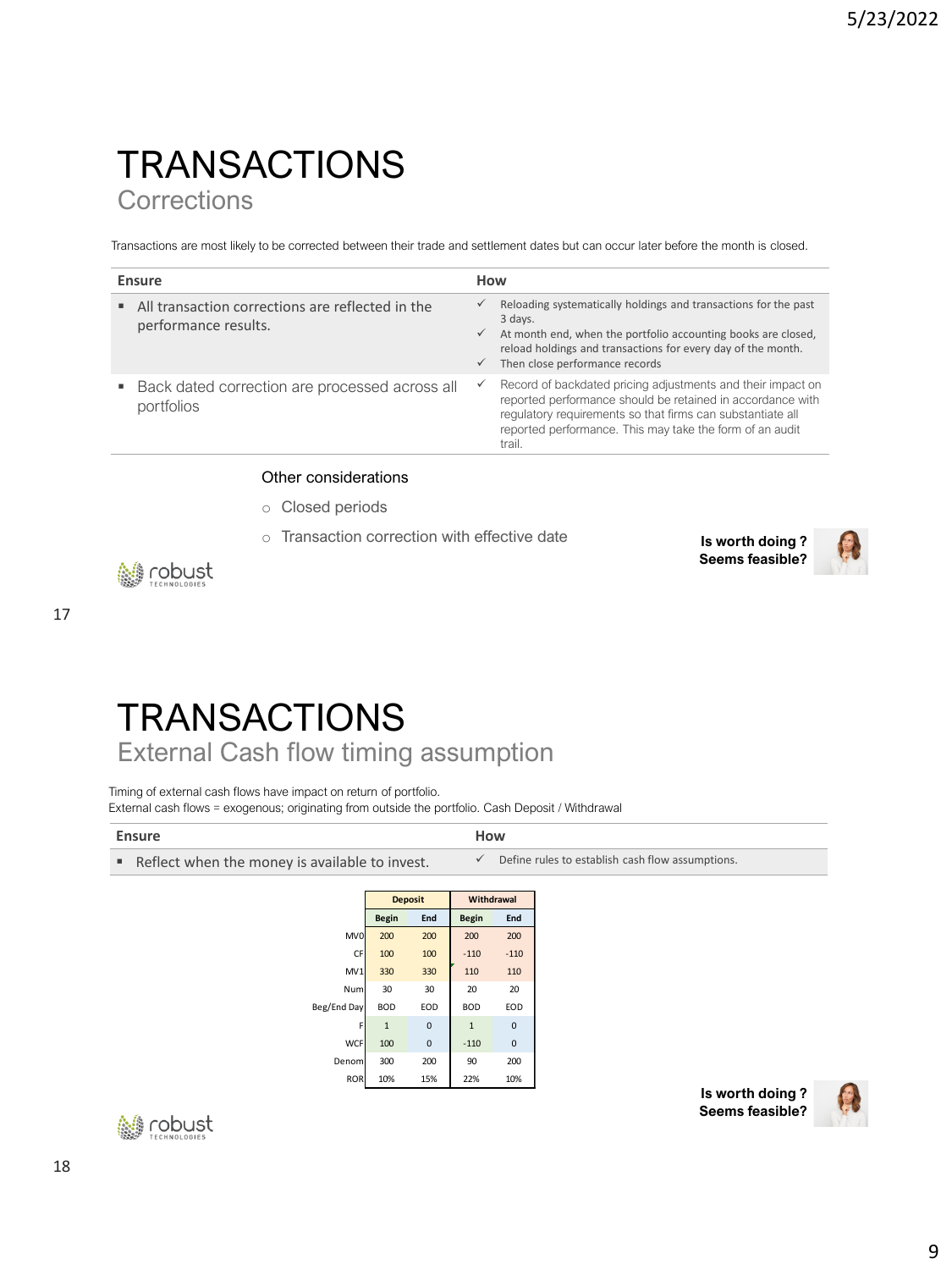### **TRANSACTIONS Corrections**

Transactions are most likely to be corrected between their trade and settlement dates but can occur later before the month is closed.

| Ensure                                                                   | How                                          |                                                                                                                                                                                                                                                               |
|--------------------------------------------------------------------------|----------------------------------------------|---------------------------------------------------------------------------------------------------------------------------------------------------------------------------------------------------------------------------------------------------------------|
| All transaction corrections are reflected in the<br>performance results. | $\checkmark$<br>$\checkmark$<br>$\checkmark$ | Reloading systematically holdings and transactions for the past<br>3 days.<br>At month end, when the portfolio accounting books are closed,<br>reload holdings and transactions for every day of the month.<br>Then close performance records                 |
| Back dated correction are processed across all<br>portfolios             | $\checkmark$                                 | Record of backdated pricing adjustments and their impact on<br>reported performance should be retained in accordance with<br>regulatory requirements so that firms can substantiate all<br>reported performance. This may take the form of an audit<br>trail. |

#### Other considerations

- o Closed periods
- o Transaction correction with effective date **Is worth doing ?** 
	- **Seems feasible?**



tobust

17

**TRANSACTIONS** 

External Cash flow timing assumption

Timing of external cash flows have impact on return of portfolio. External cash flows = exogenous; originating from outside the portfolio. Cash Deposit / Withdrawal

| <b>Ensure</b>                                  |              |                | How          |              |                                                  |
|------------------------------------------------|--------------|----------------|--------------|--------------|--------------------------------------------------|
| Reflect when the money is available to invest. |              |                | $\checkmark$ |              | Define rules to establish cash flow assumptions. |
|                                                |              |                |              |              |                                                  |
|                                                |              | <b>Deposit</b> |              | Withdrawal   |                                                  |
|                                                | <b>Begin</b> | End            | <b>Begin</b> | End          |                                                  |
| MV <sub>0</sub>                                | 200          | 200            | 200          | 200          |                                                  |
| CF                                             | 100          | 100            | $-110$       | $-110$       |                                                  |
| MV1                                            | 330          | 330            | 110          | 110          |                                                  |
| Num                                            | 30           | 30             | 20           | 20           |                                                  |
| Beg/End Day                                    | <b>BOD</b>   | EOD            | <b>BOD</b>   | EOD          |                                                  |
|                                                | $\mathbf{1}$ | $\mathbf 0$    | $\mathbf{1}$ | 0            |                                                  |
| <b>WCF</b>                                     | 100          | $\mathbf{0}$   | $-110$       | $\mathbf{0}$ |                                                  |
| Denom                                          | 300          | 200            | 90           | 200          |                                                  |

ROR 10% 15% 22% 10%



**Is worth doing ? Seems feasible?**

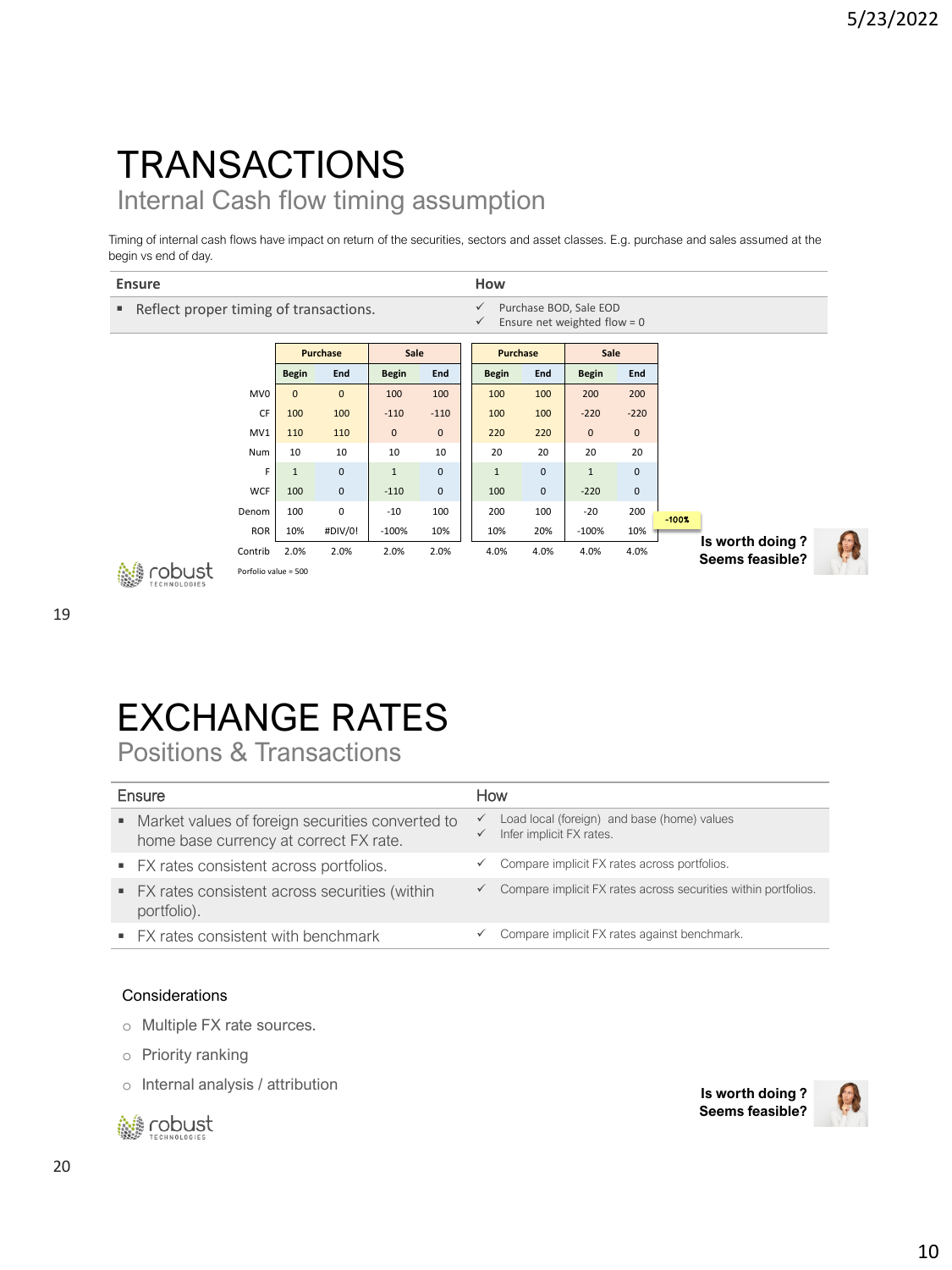## **TRANSACTIONS** Internal Cash flow timing assumption

Timing of internal cash flows have impact on return of the securities, sectors and asset classes. E.g. purchase and sales assumed at the begin vs end of day.

> CF 100 100 -110 -110 100 100 -220 -220 MV1 | 110 | 110 | 0 0 | | 220 220 | 0 0 0 Num 10 10 10 10 20 20 20 20 20 F 1 0 1 0 1 0 1 0 1 0 WCF 100 0 -110 0 100 0 -220 0 Denom 100 0 -10 100 200 100 -20 200 ROR 10% #DIV/0! -100% 10% 10% 20% -100% 10% Contrib 2.0% 2.0% 2.0% 2.0% 4.0% 4.0% 4.0% 4.0%

| <b>Ensure</b>                            |              |                 |              |     | How             |     |                                                          |     |  |
|------------------------------------------|--------------|-----------------|--------------|-----|-----------------|-----|----------------------------------------------------------|-----|--|
| ■ Reflect proper timing of transactions. |              |                 |              |     | $\checkmark$    |     | Purchase BOD, Sale EOD<br>Ensure net weighted flow = $0$ |     |  |
|                                          |              | <b>Purchase</b> | Sale         |     | <b>Purchase</b> |     | Sale                                                     |     |  |
|                                          | <b>Begin</b> | End             | <b>Begin</b> | End | <b>Begin</b>    | End | <b>Begin</b>                                             | End |  |
| MV <sub>0</sub>                          | $\Omega$     | $\mathbf{0}$    | 100          | 100 | 100             | 100 | 200                                                      | 200 |  |



| Porfolio value = 500 |
|----------------------|
|----------------------|

# EXCHANGE RATES

Positions & Transactions

| Ensure |                                                                                              | How               |                                                                         |  |
|--------|----------------------------------------------------------------------------------------------|-------------------|-------------------------------------------------------------------------|--|
|        | • Market values of foreign securities converted to<br>home base currency at correct FX rate. | ✓<br>$\checkmark$ | Load local (foreign) and base (home) values<br>Infer implicit FX rates. |  |
|        | • FX rates consistent across portfolios.                                                     | ✓                 | Compare implicit FX rates across portfolios.                            |  |
|        | • FX rates consistent across securities (within<br>portfolio).                               | ✓                 | Compare implicit FX rates across securities within portfolios.          |  |
|        | • FX rates consistent with benchmark                                                         | ✓                 | Compare implicit FX rates against benchmark.                            |  |

#### Considerations

- o Multiple FX rate sources.
- o Priority ranking
- o Internal analysis / attribution



**Is worth doing ? Seems feasible?**

**Is worth doing ? Seems feasible?**

-100%

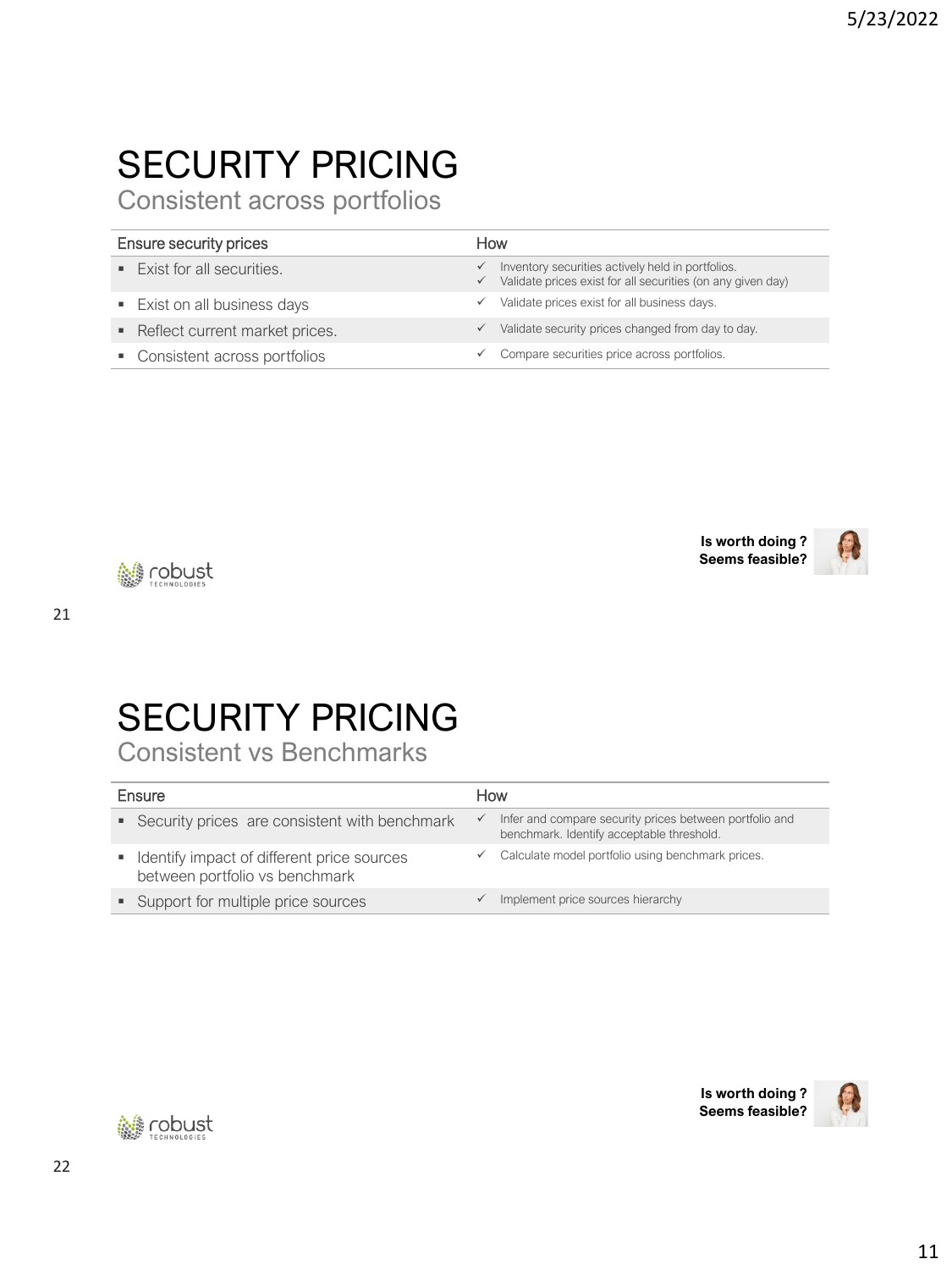# SECURITY PRICING

Consistent across portfolios

| <b>Ensure security prices</b> |                                          | How                          |                                                                                                                  |  |
|-------------------------------|------------------------------------------|------------------------------|------------------------------------------------------------------------------------------------------------------|--|
|                               | $\blacksquare$ Exist for all securities. | $\checkmark$<br>$\checkmark$ | Inventory securities actively held in portfolios.<br>Validate prices exist for all securities (on any given day) |  |
|                               | ■ Exist on all business days             |                              | Validate prices exist for all business days.                                                                     |  |
|                               | Reflect current market prices.           |                              | Validate security prices changed from day to day.                                                                |  |
|                               | • Consistent across portfolios           |                              | Compare securities price across portfolios.                                                                      |  |





**簡 robust** 

# SECURITY PRICING

Consistent vs Benchmarks

| Ensure |                                                                                | How          |                                                                                                      |  |
|--------|--------------------------------------------------------------------------------|--------------|------------------------------------------------------------------------------------------------------|--|
|        | • Security prices are consistent with benchmark                                | $\checkmark$ | Infer and compare security prices between portfolio and<br>benchmark. Identify acceptable threshold. |  |
|        | • Identify impact of different price sources<br>between portfolio vs benchmark |              | Calculate model portfolio using benchmark prices.                                                    |  |
|        | • Support for multiple price sources                                           |              | Implement price sources hierarchy                                                                    |  |
|        |                                                                                |              |                                                                                                      |  |



**Is worth doing ? Seems feasible?**

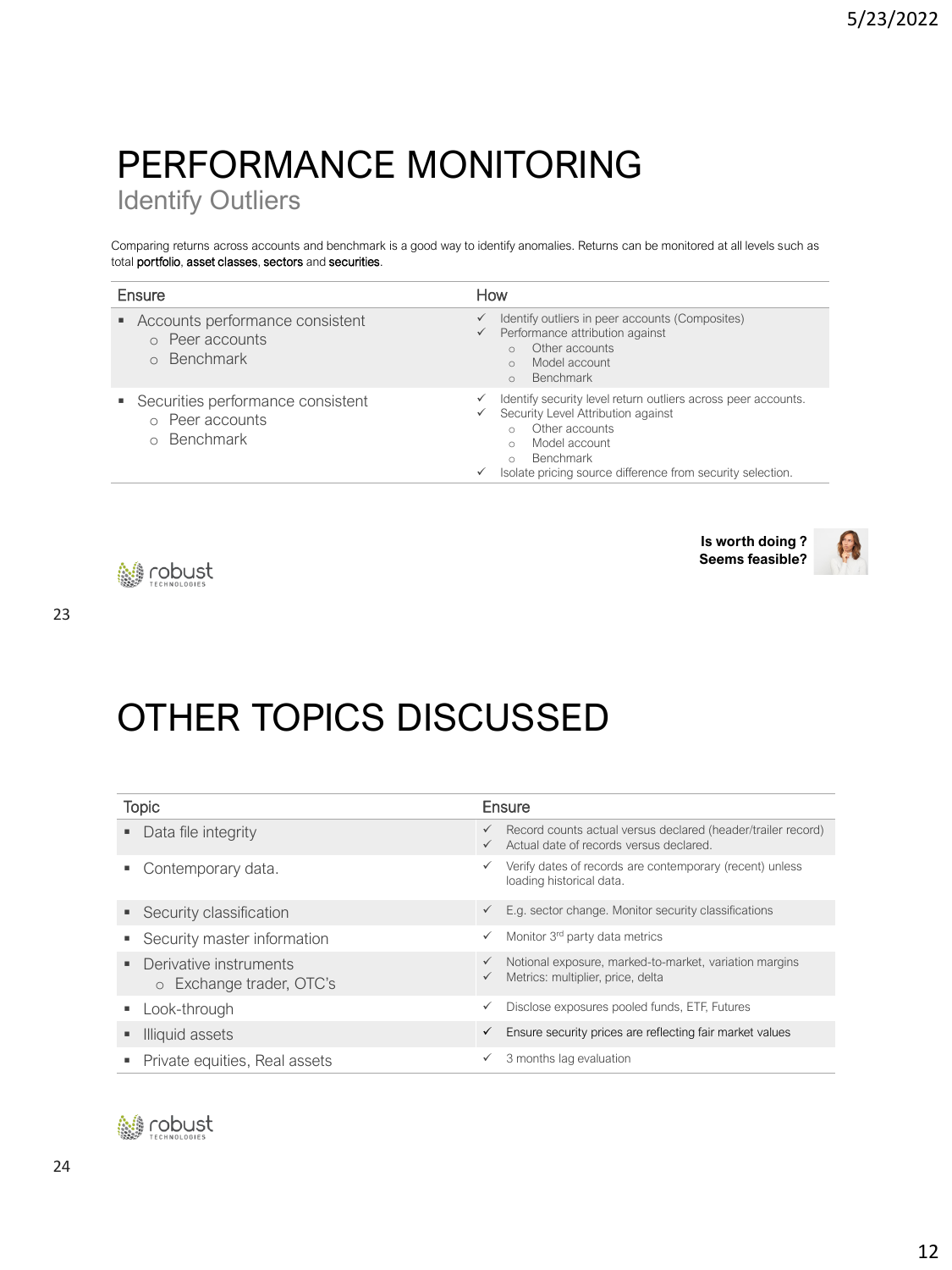# PERFORMANCE MONITORING

Identify Outliers

Comparing returns across accounts and benchmark is a good way to identify anomalies. Returns can be monitored at all levels such as total portfolio, asset classes, sectors and securities.

| Ensure                                                          | How                                                                                                                                                                                                                                                          |  |  |
|-----------------------------------------------------------------|--------------------------------------------------------------------------------------------------------------------------------------------------------------------------------------------------------------------------------------------------------------|--|--|
| • Accounts performance consistent<br>Peer accounts<br>Benchmark | Identify outliers in peer accounts (Composites)<br>✓<br>Performance attribution against<br>✓<br>Other accounts<br>$\cap$<br>Model account<br>$\circ$<br>Benchmark<br>$\circ$                                                                                 |  |  |
| Securities performance consistent<br>Peer accounts<br>Benchmark | Identify security level return outliers across peer accounts.<br>✓<br>Security Level Attribution against<br>✓<br>Other accounts<br>$\circ$<br>Model account<br>$\circ$<br>Benchmark<br>$\circ$<br>Isolate pricing source difference from security selection. |  |  |







# OTHER TOPICS DISCUSSED

| <b>Topic</b> |                                                      | Ensure                       |                                                                                                         |  |
|--------------|------------------------------------------------------|------------------------------|---------------------------------------------------------------------------------------------------------|--|
|              | Data file integrity                                  | $\checkmark$<br>$\checkmark$ | Record counts actual versus declared (header/trailer record)<br>Actual date of records versus declared. |  |
|              | Contemporary data.                                   |                              | Verify dates of records are contemporary (recent) unless<br>loading historical data.                    |  |
|              | • Security classification                            | $\checkmark$                 | E.g. sector change. Monitor security classifications                                                    |  |
|              | • Security master information                        | ✓                            | Monitor 3 <sup>rd</sup> party data metrics                                                              |  |
|              | • Derivative instruments<br>o Exchange trader, OTC's | $\checkmark$<br>$\checkmark$ | Notional exposure, marked-to-market, variation margins<br>Metrics: multiplier, price, delta             |  |
|              | Look-through                                         | $\checkmark$                 | Disclose exposures pooled funds, ETF, Futures                                                           |  |
|              | Illiquid assets                                      | ✓                            | Ensure security prices are reflecting fair market values                                                |  |
|              | • Private equities, Real assets                      |                              | 3 months lag evaluation                                                                                 |  |